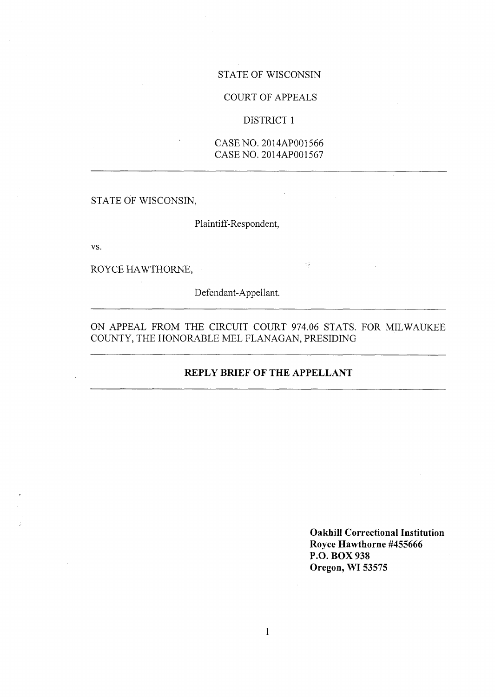# STATE OF WISCONSIN

# COURT OF APPEALS

### DISTRICT <sup>1</sup>

CASE NO. 2014AP001566 CASE NO. 2014AP001567

STATE OF WISCONSIN,

Plaintiff-Respondent,

vs.

ROYCE HAWTHORNE,

Defendant-Appellant.

ON APPEAL FROM THE CIRCUIT COURT 974.06 STATS. FOR MILWAUKEE COUNTY, THE HONORABLE MEL FLANAGAN, PRESIDING

 $\mathbb{C}^{\mathbb{Z}}_{\mathbb{R}}$ 

# **REPLY BRIEF OF THE APPELLANT**

**Oakhill Correctional Institution Royce Hawthorne #455666 P.O. BOX 938 Oregon, WI 53575**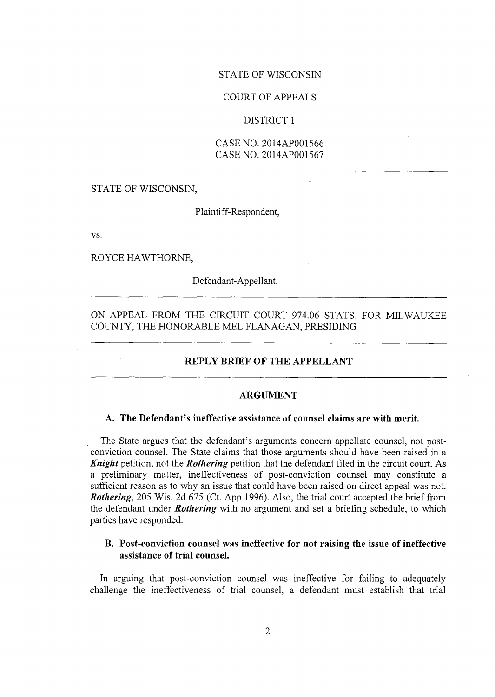# STATE OF WISCONSIN

## COURT OF APPEALS

#### DISTRICT <sup>1</sup>

CASE NO. 2014AP001566 CASE NO. 2014AP001567

STATE OF WISCONSIN,

Plaintiff-Respondent,

vs.

ROYCE HAWTHORNE,

Defendant-Appellant.

ON APPEAL FROM THE CIRCUIT COURT 974.06 STATS. FOR MILWAUKEE COUNTY, THE HONORABLE MEL FLANAGAN, PRESIDING

# **REPLY BRIEF OF THE APPELLANT**

#### **ARGUMENT**

## **A. The Defendant's ineffective assistance of counsel claims are with merit.**

The State argues that the defendant's arguments concern appellate counsel, not postconviction counsel. The State claims that those arguments should have been raised in a *Knight* petition, not the *Rothering* petition that the defendant filed in the circuit court. As a preliminary matter, ineffectiveness of post-conviction counsel may constitute <sup>a</sup> sufficient reason as to why an issue that could have been raised on direct appeal was not. *Rothering,* 205 Wis. 2d 675 (Ct. App 1996). Also, the trial court accepted the brief from the defendant under *Rothering* with no argument and set a briefing schedule, to which parties have responded.

## **B. Post-conviction counsel was ineffective for not raising the issue of ineffective assistance of trial counsel.**

In arguing that post-conviction counsel was ineffective for failing to adequately challenge the ineffectiveness of trial counsel, a defendant must establish that trial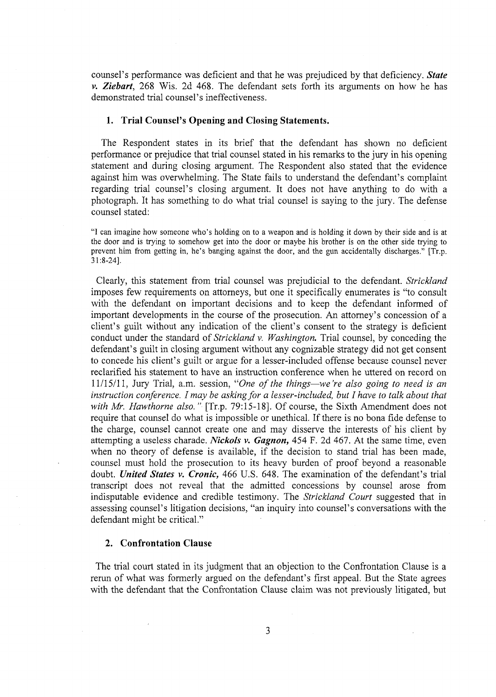counsel's performance was deficient and that he was prejudiced by that deficiency. *State v. Ziebart,* 268 Wis. 2d 468. The defendant sets forth its arguments on how he has demonstrated trial counsel's ineffectiveness.

#### **1. Trial Counsel's Opening and Closing Statements.**

The Respondent states in its brief that the defendant has shown no deficient performance or prejudice that trial counsel stated in his remarks to the jury in his opening statement and during closing argument. The Respondent also stated that the evidence against him was overwhelming. The State fails to understand the defendant's complaint regarding trial counsel's closing argument. It does not have anything to do with <sup>a</sup> photograph. It has something to do what trial counsel is saying to the jury. The defense counsel stated:

"I can imagine how someone who's holding on to <sup>a</sup> weapon and is holding it down by their side and is at the door and is trying to somehow get into the door or maybe his brother is on the other side trying to prevent him from getting in, he's banging against the door, and the gun accidentally discharges." [Tr.p. 31:8-24],

Clearly, this statement from trial counsel was prejudicial to the defendant. *Strickland* imposes few requirements on attorneys, but one it specifically enumerates is "to consult with the defendant on important decisions and to keep the defendant informed of important developments in the course of the prosecution. An attorney's concession of <sup>a</sup> client's guilt without any indication of the client's consent to the strategy is deficient conduct under the standard of *Strickland* v. *Washington.* Trial counsel, by conceding the defendant's guilt in closing argument without any cognizable strategy did not get consent to concede his client's guilt or argue for <sup>a</sup> lesser-included offense because counsel never reclarified his statement to have an instruction conference when he uttered on record on 11/15/11, Jury Trial, a.m. session, "*One of the things*—*we're also going to need is an instruction conference. I may be askingfor <sup>a</sup> lesser-included, but I have to talk about that with Mr. Hawthorne also. "* [Tr.p. 79:15-18], Of course, the Sixth Amendment does not require that counsel do what is impossible or unethical. If there is no bona fide defense to the charge, counsel cannot create one and may disserve the interests of his client by attempting a useless charade. *Nickols* v. *Gagnon,* 454 F. 2d 467. At the same time, even when no theory of defense is available, if the decision to stand trial has been made, counsel must hold the prosecution to its heavy burden of proof beyond a reasonable doubt. *United States* v. *Cronic,* 466 U.S. 648. The examination of the defendant's trial transcript does not reveal that the admitted concessions by counsel arose from indisputable evidence and credible testimony. The *Strickland Court* suggested that in assessing counsel's litigation decisions, "an inquiry into counsel's conversations with the defendant might be critical."

#### **2. Confrontation Clause**

The trial court stated in its judgment that an objection to the Confrontation Clause is <sup>a</sup> rerun of what was formerly argued on the defendant's first appeal. But the State agrees with the defendant that the Confrontation Clause claim was not previously litigated, but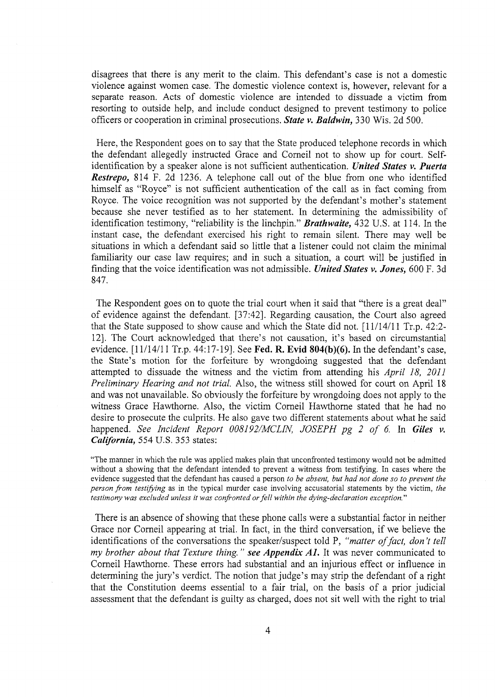disagrees that there is any merit to the claim. This defendant's case is not <sup>a</sup> domestic violence against women case. The domestic violence context is, however, relevant for a separate reason. Acts of domestic violence are intended to dissuade a victim from resorting to outside help, and include conduct designed to prevent testimony to police officers or cooperation in criminal prosecutions. *State* v. *Baldwin,* 330 Wis. 2d 500.

Here, the Respondent goes on to say that the State produced telephone records in which the defendant allegedly instructed Grace and Comeil not to show up for court. Selfidentification by a speaker alone is not sufficient authentication. *United States* v. *Puerta Restrepo,* 814 F. 2d 1236. A telephone call out of the blue from one who identified himself as "Royce" is not sufficient authentication of the call as in fact coming from Royce. The voice recognition was not supported by the defendant's mother's statement because she never testified as to her statement. In determining the admissibility of identification testimony, "reliability is the linchpin." *Brathwaite,* <sup>432</sup> U.S. at 114. In the instant case, the defendant exercised his right to remain silent. There may well be situations in which a defendant said so little that a listener could not claim the minimal familiarity our case law requires; and in such a situation, a court will be justified in finding that the voice identification was not admissible. *United States* v. *Jones,* 600 F. 3d 847.

The Respondent goes on to quote the trial court when it said that "there is <sup>a</sup> great deal" of evidence against the defendant. [37:42]. Regarding causation, the Court also agreed that the State supposed to show cause and which the State did not. [11/14/11 Tr.p. 42:2- 12]. The Court acknowledged that there's not causation, it's based on circumstantial evidence. [11/14/11 Tr.p. 44:17-19]. See **Fed. R. Evid 804(b)(6).** In the defendant's case, the State's motion for the forfeiture by wrongdoing suggested that the defendant attempted to dissuade the witness and the victim from attending his *April 18, 2011 Preliminary Hearing and not trial.* Also, the witness still showed for court on April 18 and was not unavailable. So obviously the forfeiture by wrongdoing does not apply to the witness Grace Hawthorne. Also, the victim Comeil Hawthorne stated that he had no desire to prosecute the culprits. He also gave two different statements about what he said happened. *See Incident Report 008192/MCLIN, JOSEPH pg 2 of 6.* In *Giles* v. *California,* 554 U.S. 353 states:

"The manner in which the rale was applied makes plain that unconfronted testimony would not be admitted without a showing that the defendant intended to prevent a witness from testifying. In cases where the evidence suggested that the defendant has caused a person *to be absent, but had not done so to prevent the person from testifying* as in the typical murder case involving accusatorial statements by the victim, *the testimony was excluded unless it was confronted orfell within the dying-declaration exception.*"

There is an absence of showing that these phone calls were a substantial factor in neither Grace nor Comeil appearing at trial. In fact, in the third conversation, if we believe the identifications of the conversations the speaker/suspect told P, "matter of fact, don't tell *my brother about that Texture thing. " see Appendix Al.* It was never communicated to Comeil Hawthorne. These errors had substantial and an injurious effect or influence in determining the jury's verdict. The notion that judge's may strip the defendant of <sup>a</sup> right that the Constitution deems essential to a fair trial, on the basis of a prior judicial assessment that the defendant is guilty as charged, does not sit well with the right to trial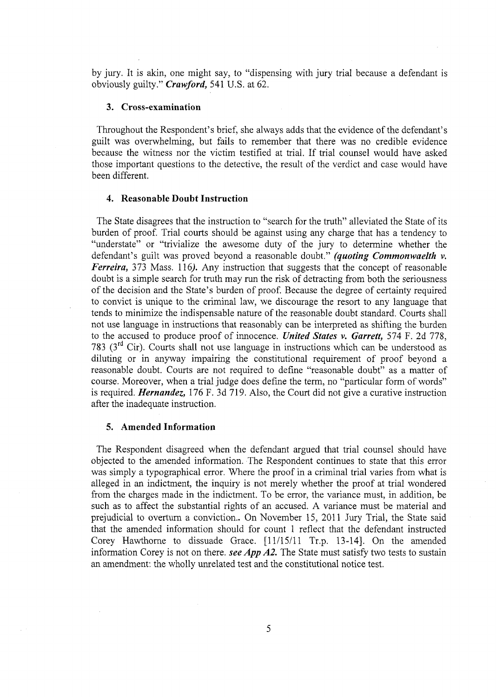by jury. It is akin, one might say, to "dispensing with jury trial because <sup>a</sup> defendant is obviously guilty." *Crawford,* **<sup>541</sup> U.S.** at **62.**

### **3. Cross-examination**

Throughout the Respondent's brief, she always adds that the evidence of the defendant's guilt was overwhelming, but fails to remember that there was no credible evidence because the witness nor the victim testified at trial. If trial counsel would have asked those important questions to the detective, the result of the verdict and case would have been different.

#### **4. Reasonable Doubt Instruction**

The State disagrees that the instruction to "search for the truth" alleviated the State of its burden of proof. Trial courts should be against using any charge that has <sup>a</sup> tendency to "understate" or "trivialize the awesome duty of the jury to determine whether the defendant's guilt was proved beyond <sup>a</sup> reasonable doubt." *(quoting Commonwaelth* v. *Ferreira,* 373 Mass. *l\6).* Any instruction that suggests that the concept of reasonable doubt is a simple search for truth may run the risk of detracting from both the seriousness of the decision and the State's burden of proof. Because the degree of certainty required to convict is unique to the criminal law, we discourage the resort to any language that tends to minimize the indispensable nature of the reasonable doubt standard. Courts shall not use language in instructions that reasonably can be interpreted as shifting the burden to the accused to produce proof of innocence. *United States v. Garrett,* 574 F. 2d 778, 783 ( $3<sup>rd</sup>$  Cir). Courts shall not use language in instructions which can be understood as diluting or in anyway impairing the constitutional requirement of proof beyond <sup>a</sup> reasonable doubt. Courts are not required to define "reasonable doubt" as <sup>a</sup> matter of course. Moreover, when a trial judge does define the term, no "particular form of words" is required. *Hernandez,* 176 F. 3d 719. Also, the Court did not give a curative instruction after the inadequate instruction.

# **5. Amended Information**

The Respondent disagreed when the defendant argued that trial counsel should have objected to the amended information. The Respondent continues to state that this error was simply a typographical error. Where the proof in a criminal trial varies from what is alleged in an indictment, the inquiry is not merely whether the proof at trial wondered from the charges made in the indictment. To be error, the variance must, in addition, be such as to affect the substantial rights of an accused. A variance must be material and prejudicial to overturn a conviction.. On November 15, 2011 Jury Trial, the State said that the amended information should for count <sup>1</sup> reflect that the defendant instructed Corey Hawthorne to dissuade Grace. [11/15/11 Tr.p. 13-14]. On the amended information Corey is not on there, *see App A2.* The State must satisfy two tests to sustain an amendment: the wholly unrelated test and the constitutional notice test.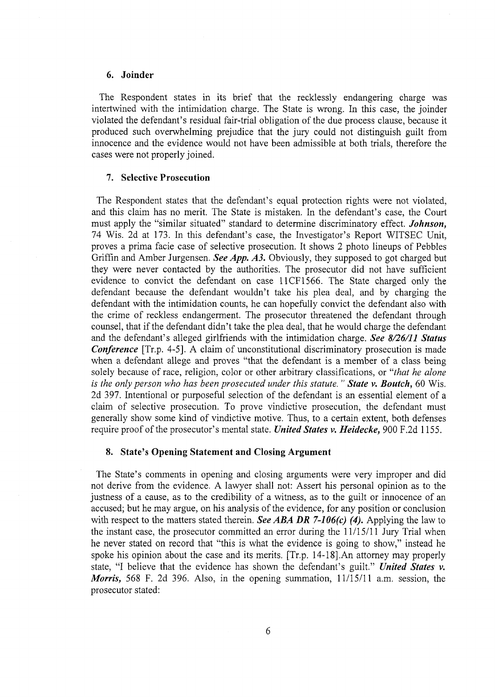## **6. Joinder**

The Respondent states in its brief that the recklessly endangering charge was intertwined with the intimidation charge. The State is wrong. In this case, the joinder violated the defendant's residual fair-trial obligation of the due process clause, because it produced such overwhelming prejudice that the jury could not distinguish guilt from innocence and the evidence would not have been admissible at both trials, therefore the cases were not properly joined.

#### **7. Selective Prosecution**

The Respondent states that the defendant's equal protection rights were not violated, and this claim has no merit. The State is mistaken. In the defendant's case, the Court must apply the "similar situated" standard to determine discriminatory effect. *Johnson,* <sup>74</sup> Wis. 2d at 173. In this defendant's case, the Investigator's Report WITSEC Unit, proves <sup>a</sup> prima facie case of selective prosecution. It shows 2 photo lineups of Pebbles Griffin and Amber Jurgensen. *See App. A3.* Obviously, they supposed to got charged but they were never contacted by the authorities. The prosecutor did not have sufficient evidence to convict the defendant on case 11CF1566. The State charged only the defendant because the defendant wouldn't take his plea deal, and by charging the defendant with the intimidation counts, he can hopefully convict the defendant also with the crime of reckless endangerment. The prosecutor threatened the defendant through counsel, that if the defendant didn't take the plea deal, that he would charge the defendant and the defendant's alleged girlfriends with the intimidation charge. *See 8/26/11 Status Conference* [Tr.p. 4-5]. A claim of unconstitutional discriminatory prosecution is made when <sup>a</sup> defendant allege and proves "that the defendant is <sup>a</sup> member of <sup>a</sup> class being solely because of race, religion, color or other arbitrary classifications, or "*that he alone is the only person who has been prosecuted under this statute. " State v. Boutch,* 60 Wis. 2d 397. Intentional or purposeful selection of the defendant is an essential element of <sup>a</sup> claim of selective prosecution. To prove vindictive prosecution, the defendant must generally show some kind of vindictive motive. Thus, to a certain extent, both defenses require proof ofthe prosecutor's mental state. *United States v. Heidecke,* <sup>900</sup> F.2d 1155.

#### **8. State's Opening Statement and Closing Argument**

The State's comments in opening and closing arguments were very improper and did not derive from the evidence. A lawyer shall not: Assert his personal opinion as to the justness of <sup>a</sup> cause, as to the credibility of <sup>a</sup> witness, as to the guilt or innocence of an accused; but he may argue, on his analysis of the evidence, for any position or conclusion with respect to the matters stated therein. *See ABA DR 7-106(c) (4).* Applying the law to the instant case, the prosecutor committed an error during the 11/15/11 Jury Trial when he never stated on record that "this is what the evidence is going to show," instead he spoke his opinion about the case and its merits. [Tr.p. 14-18],An attorney may properly state, "I believe that the evidence has shown the defendant's guilt." *United States v. Morris,* 568 F. 2d 396. Also, in the opening summation, 11/15/11 a.m. session, the prosecutor stated: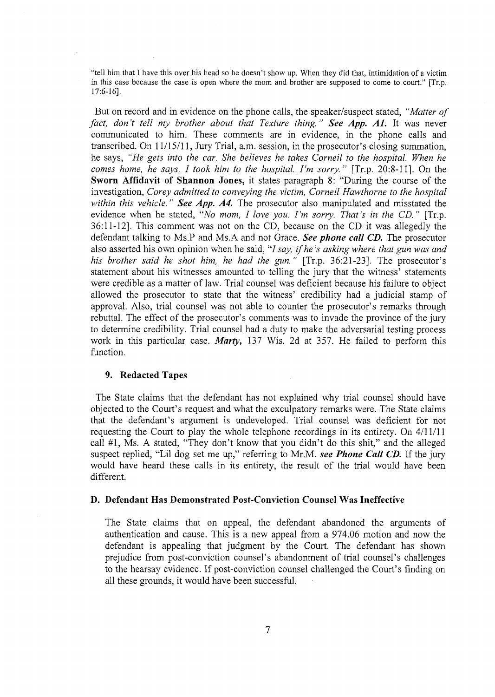"tell him that I have this over his head so he doesn't show up. When they did that, intimidation of <sup>a</sup> victim in this case because the case is open where the mom and brother are supposed to come to court." [Tr.p. 17:6-16],

But on record and in evidence on the phone calls, the speaker/suspect stated, "*Matter of fact, don* <sup>Y</sup> *tell my brother about that Texture thing. " See App. AL* It was never communicated to him. These comments are in evidence, in the phone calls and transcribed. On 11/15/11, Jury Trial, a.m. session, in the prosecutor's closing summation, he says, *"He gets into the car. She believes he takes Corneil to the hospital. When he comes home, he says, I took him to the hospital. I'm sorry. "* [Tr.p. 20:8-11]. On the **Sworn Affidavit of Shannon Jones,** it states paragraph 8: "During the course of the investigation, *Corey admitted to conveying the victim, Corneil Hawthorne to the hospital within this vehicle. " See App. A4.* The prosecutor also manipulated and misstated the evidence when he stated, 'Wo *mom, I love you. I'm sorry. That's in the CD."* [Tr.p. 36:11-12], This comment was not on the CD, because on the CD it was allegedly the defendant talking to Ms.P and Ms.A and not Grace. *See phone call CD.* The prosecutor also asserted his own opinion when he said, "/ *say, ifhe's asking where that gun was and his brother said he shot him, he had the gun. "* [Tr.p. 36:21-23]. The prosecutor's statement about his witnesses amounted to telling the jury that the witness' statements were credible as a matter of law. Trial counsel was deficient because his failure to object allowed the prosecutor to state that the witness' credibility had a judicial stamp of approval. Also, trial counsel was not able to counter the prosecutor's remarks through rebuttal. The effect of the prosecutor's comments was to invade the province of the jury to determine credibility. Trial counsel had a duty to make the adversarial testing process work in this particular case. *Marty,* 137 Wis. 2d at 357. He failed to perform this function.

## **9. Redacted Tapes**

The State claims that the defendant has not explained why trial counsel should have objected to the Court's request and what the exculpatory remarks were. The State claims that the defendant's argument is undeveloped. Trial counsel was deficient for not requesting the Court to play the whole telephone recordings in its entirety. On 4/11/11 call #1, Ms. A Stated, "They don't know that you didn't do this shit," and the alleged suspect replied, "Lil dog set me up," referring to Mr.M. *see Phone Call CD.* If the jury would have heard these calls in its entirety, the result of the trial would have been different.

#### **D. Defendant Has Demonstrated Post-Conviction Counsel Was Ineffective**

The State claims that on appeal, the defendant abandoned the arguments of authentication and cause. This is a new appeal from a 974.06 motion and now the defendant is appealing that judgment by the Court. The defendant has shown prejudice from post-conviction counsel's abandonment of trial counsel's challenges to the hearsay evidence. If post-conviction counsel challenged the Court's finding on all these grounds, it would have been successful.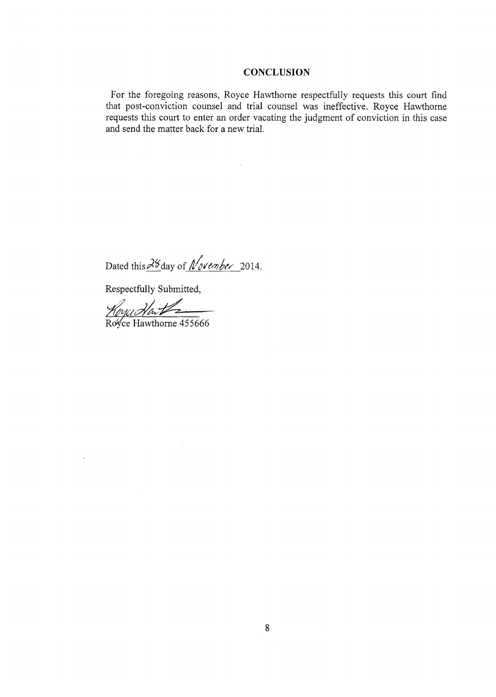#### **CONCLUSION**

For the foregoing reasons, Royce Hawthorne respectfully requests this court find that post-conviction counsel and trial counsel was ineffective. Royce Hawthorne requests this court to enter an order vacating the judgment of conviction in this case and send the matter back for a new trial.

**/** Dated this <sup>28</sup> day of *November* 2014.

Respectfully Submitted,

Royce Hawthorne 455666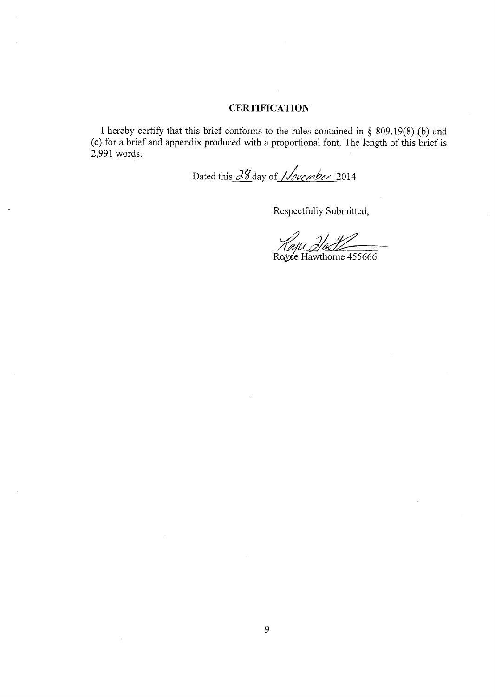# **CERTIFICATION**

I hereby certify that this brief conforms to the rules contained in  $\S$  809.19(8) (b) and (c) for a brief and appendix produced with a proportional font. The length of this brief is 2,991 words.

Dated this 28 day of *November* 2014

Respectfully Submitted,

**4**

Ro⁄yce Hawthorne 455666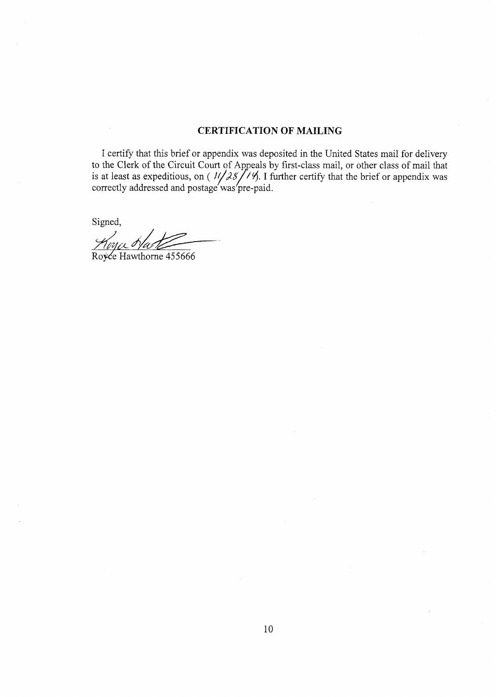# **CERTIFICATION OF MAILING**

I certify that this brief or appendix was deposited in the United States mail for delivery to the Clerk of the Circuit Court of Appeals by first-class mail, or other class of mail that<br>is at least as expeditious, on  $(1/\sqrt{25})$ . I further certify that the brief or appendix was<br>correctly addressed and postage was was

Signed,

Royce Hawthorne 455666